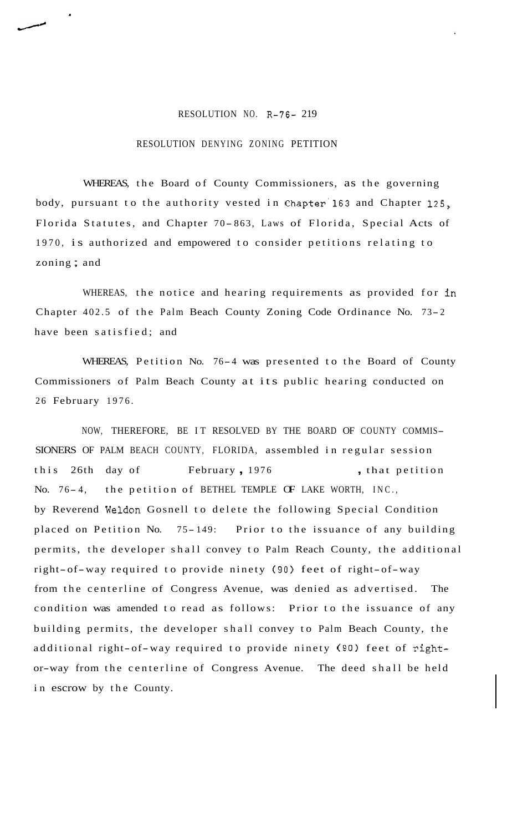## RESOLUTION NO. R-76- 219

## RESOLUTION DENYING ZONING PETITION

WHEREAS, the Board of County Commissioners, as the governing body, pursuant to the authority vested in Chapter'l63 and Chapter 125, Florida Statutes, and Chapter 70- 863, Laws of Florida, Special Acts of 1970, is authorized and empowered to consider petitions relating to zoning ; and

WHEREAS, the notice and hearing requirements as provided for in Chapter 402.5 of the Palm Beach County Zoning Code Ordinance No. 73- <sup>2</sup> have been satisfied; and

WHEREAS, Petition No. 76-4 was presented to the Board of County Commissioners of Palm Beach County at its public hearing conducted on 26 February 1976.

NOW, THEREFORE, BE IT RESOLVED BY THE BOARD OF COUNTY COMMIS-SIONERS OF PALM BEACH COUNTY, FLORIDA, assembled in regular session this 26th day of February, 1976 , that petition No. 76-4, the petition of BETHEL TEMPLE OF LAKE WORTH, INC., by Reverend Weldon Gosnell to delete the following Special Condition placed on Petition No. 75- 149: Prior to the issuance of any building permits, the developer shall convey to Palm Reach County, the additional right-of-way required to provide ninety (90) feet of right-of-way from the centerline of Congress Avenue, was denied as advertised. The condition was amended to read as follows: Prior to the issuance of any building permits, the developer shall convey to Palm Beach County, the additional right-of-way required to provide ninety (90) feet of rightor-way from the centerline of Congress Avenue. The deed shall be held in escrow by the County.